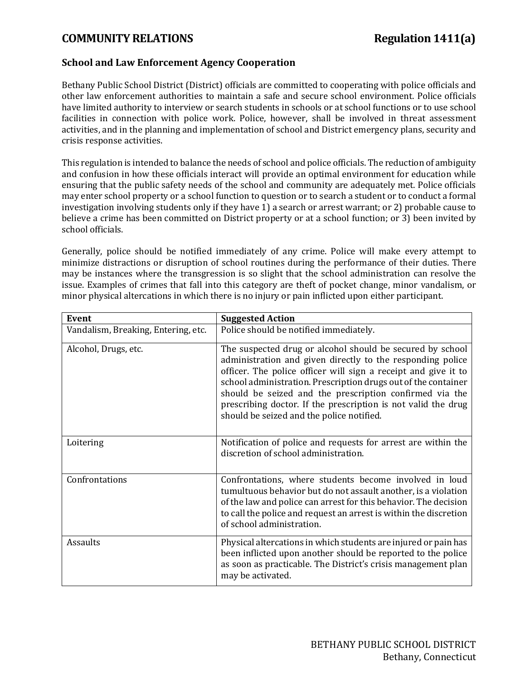## **COMMUNITY RELATIONS Regulation 1411(a)**

## **School and Law Enforcement Agency Cooperation**

Bethany Public School District (District) officials are committed to cooperating with police officials and other law enforcement authorities to maintain a safe and secure school environment. Police officials have limited authority to interview or search students in schools or at school functions or to use school facilities in connection with police work. Police, however, shall be involved in threat assessment activities, and in the planning and implementation of school and District emergency plans, security and crisis response activities.

This regulation is intended to balance the needs of school and police officials. The reduction of ambiguity and confusion in how these officials interact will provide an optimal environment for education while ensuring that the public safety needs of the school and community are adequately met. Police officials may enter school property or a school function to question or to search a student or to conduct a formal investigation involving students only if they have 1) a search or arrest warrant; or 2) probable cause to believe a crime has been committed on District property or at a school function; or 3) been invited by school officials.

Generally, police should be notified immediately of any crime. Police will make every attempt to minimize distractions or disruption of school routines during the performance of their duties. There may be instances where the transgression is so slight that the school administration can resolve the issue. Examples of crimes that fall into this category are theft of pocket change, minor vandalism, or minor physical altercations in which there is no injury or pain inflicted upon either participant.

| Event                               | <b>Suggested Action</b>                                                                                                                                                                                                                                                                                                                                                                                                              |
|-------------------------------------|--------------------------------------------------------------------------------------------------------------------------------------------------------------------------------------------------------------------------------------------------------------------------------------------------------------------------------------------------------------------------------------------------------------------------------------|
| Vandalism, Breaking, Entering, etc. | Police should be notified immediately.                                                                                                                                                                                                                                                                                                                                                                                               |
| Alcohol, Drugs, etc.                | The suspected drug or alcohol should be secured by school<br>administration and given directly to the responding police<br>officer. The police officer will sign a receipt and give it to<br>school administration. Prescription drugs out of the container<br>should be seized and the prescription confirmed via the<br>prescribing doctor. If the prescription is not valid the drug<br>should be seized and the police notified. |
| Loitering                           | Notification of police and requests for arrest are within the<br>discretion of school administration.                                                                                                                                                                                                                                                                                                                                |
| Confrontations                      | Confrontations, where students become involved in loud<br>tumultuous behavior but do not assault another, is a violation<br>of the law and police can arrest for this behavior. The decision<br>to call the police and request an arrest is within the discretion<br>of school administration.                                                                                                                                       |
| Assaults                            | Physical altercations in which students are injured or pain has<br>been inflicted upon another should be reported to the police<br>as soon as practicable. The District's crisis management plan<br>may be activated.                                                                                                                                                                                                                |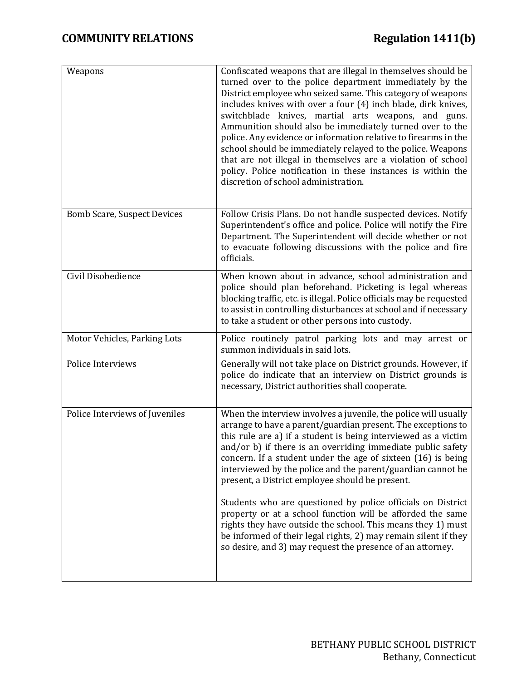| Weapons                            | Confiscated weapons that are illegal in themselves should be<br>turned over to the police department immediately by the<br>District employee who seized same. This category of weapons<br>includes knives with over a four (4) inch blade, dirk knives,<br>switchblade knives, martial arts weapons, and guns.<br>Ammunition should also be immediately turned over to the<br>police. Any evidence or information relative to firearms in the<br>school should be immediately relayed to the police. Weapons<br>that are not illegal in themselves are a violation of school<br>policy. Police notification in these instances is within the<br>discretion of school administration. |
|------------------------------------|--------------------------------------------------------------------------------------------------------------------------------------------------------------------------------------------------------------------------------------------------------------------------------------------------------------------------------------------------------------------------------------------------------------------------------------------------------------------------------------------------------------------------------------------------------------------------------------------------------------------------------------------------------------------------------------|
| <b>Bomb Scare, Suspect Devices</b> | Follow Crisis Plans. Do not handle suspected devices. Notify<br>Superintendent's office and police. Police will notify the Fire<br>Department. The Superintendent will decide whether or not<br>to evacuate following discussions with the police and fire<br>officials.                                                                                                                                                                                                                                                                                                                                                                                                             |
| Civil Disobedience                 | When known about in advance, school administration and<br>police should plan beforehand. Picketing is legal whereas<br>blocking traffic, etc. is illegal. Police officials may be requested<br>to assist in controlling disturbances at school and if necessary<br>to take a student or other persons into custody.                                                                                                                                                                                                                                                                                                                                                                  |
| Motor Vehicles, Parking Lots       | Police routinely patrol parking lots and may arrest or<br>summon individuals in said lots.                                                                                                                                                                                                                                                                                                                                                                                                                                                                                                                                                                                           |
| Police Interviews                  | Generally will not take place on District grounds. However, if<br>police do indicate that an interview on District grounds is<br>necessary, District authorities shall cooperate.                                                                                                                                                                                                                                                                                                                                                                                                                                                                                                    |
| Police Interviews of Juveniles     | When the interview involves a juvenile, the police will usually<br>arrange to have a parent/guardian present. The exceptions to<br>this rule are a) if a student is being interviewed as a victim<br>and/or b) if there is an overriding immediate public safety<br>concern. If a student under the age of sixteen (16) is being<br>interviewed by the police and the parent/guardian cannot be<br>present, a District employee should be present.                                                                                                                                                                                                                                   |
|                                    | Students who are questioned by police officials on District<br>property or at a school function will be afforded the same<br>rights they have outside the school. This means they 1) must<br>be informed of their legal rights, 2) may remain silent if they<br>so desire, and 3) may request the presence of an attorney.                                                                                                                                                                                                                                                                                                                                                           |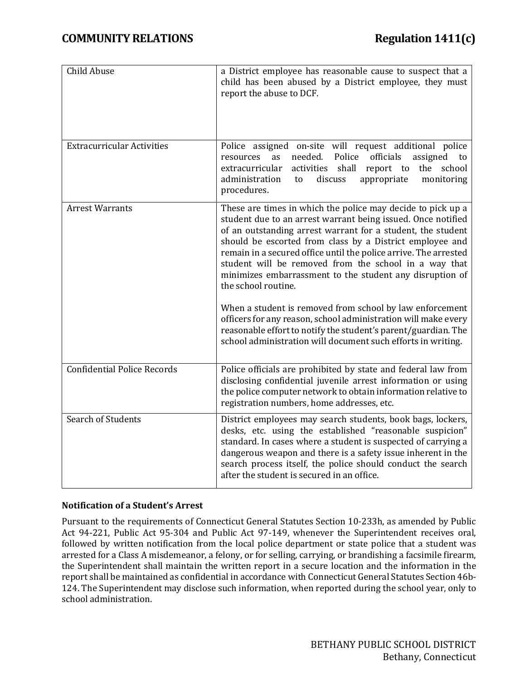| Child Abuse                        | a District employee has reasonable cause to suspect that a<br>child has been abused by a District employee, they must<br>report the abuse to DCF.                                                                                                                                                                                                                                                                                                                                                                                                                                                                                                                                                                                      |
|------------------------------------|----------------------------------------------------------------------------------------------------------------------------------------------------------------------------------------------------------------------------------------------------------------------------------------------------------------------------------------------------------------------------------------------------------------------------------------------------------------------------------------------------------------------------------------------------------------------------------------------------------------------------------------------------------------------------------------------------------------------------------------|
| <b>Extracurricular Activities</b>  | Police assigned on-site will request additional police<br>needed.<br>officials<br>Police<br>assigned<br>as<br>resources<br>to<br>shall<br>the<br>school<br>extracurricular<br>activities<br>report to<br>administration<br>discuss<br>appropriate<br>monitoring<br>to<br>procedures.                                                                                                                                                                                                                                                                                                                                                                                                                                                   |
| <b>Arrest Warrants</b>             | These are times in which the police may decide to pick up a<br>student due to an arrest warrant being issued. Once notified<br>of an outstanding arrest warrant for a student, the student<br>should be escorted from class by a District employee and<br>remain in a secured office until the police arrive. The arrested<br>student will be removed from the school in a way that<br>minimizes embarrassment to the student any disruption of<br>the school routine.<br>When a student is removed from school by law enforcement<br>officers for any reason, school administration will make every<br>reasonable effort to notify the student's parent/guardian. The<br>school administration will document such efforts in writing. |
| <b>Confidential Police Records</b> | Police officials are prohibited by state and federal law from<br>disclosing confidential juvenile arrest information or using<br>the police computer network to obtain information relative to<br>registration numbers, home addresses, etc.                                                                                                                                                                                                                                                                                                                                                                                                                                                                                           |
| Search of Students                 | District employees may search students, book bags, lockers,<br>desks, etc. using the established "reasonable suspicion"<br>standard. In cases where a student is suspected of carrying a<br>dangerous weapon and there is a safety issue inherent in the<br>search process itself, the police should conduct the search<br>after the student is secured in an office.                                                                                                                                                                                                                                                                                                                                                                  |

## **Notification of a Student's Arrest**

Pursuant to the requirements of Connecticut General Statutes Section [10-](http://www.cga.ct.gov/2011/pub/Title10.htm)233h, as amended by Public Act 94-221, Public Act 95-304 and Public Act 97-149, whenever the Superintendent receives oral, followed by written notification from the local police department or state police that a student was arrested for a Class A misdemeanor, a felony, or for selling, carrying, or brandishing a facsimile firearm, the Superintendent shall maintain the written report in a secure location and the information in the report shall be maintained as confidential in accordance with Connecticut General Statutes Sectio[n 46b-](http://www.cga.ct.gov/2011/pub/Title46b.htm)124. The Superintendent may disclose such information, when reported during the school year, only to school administration.